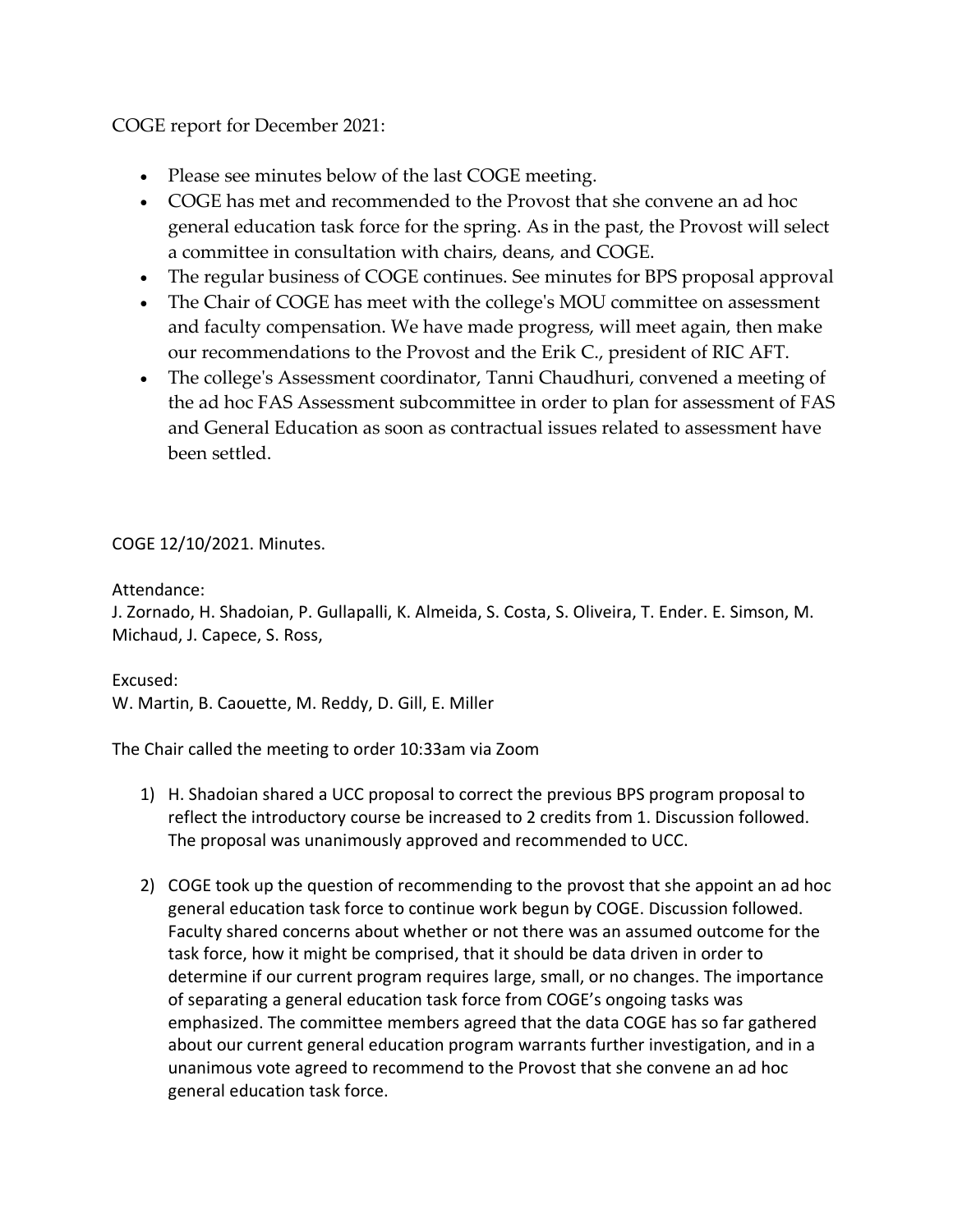COGE report for December 2021:

- Please see minutes below of the last COGE meeting.
- COGE has met and recommended to the Provost that she convene an ad hoc general education task force for the spring. As in the past, the Provost will select a committee in consultation with chairs, deans, and COGE.
- The regular business of COGE continues. See minutes for BPS proposal approval
- The Chair of COGE has meet with the college's MOU committee on assessment and faculty compensation. We have made progress, will meet again, then make our recommendations to the Provost and the Erik C., president of RIC AFT.
- The college's Assessment coordinator, Tanni Chaudhuri, convened a meeting of the ad hoc FAS Assessment subcommittee in order to plan for assessment of FAS and General Education as soon as contractual issues related to assessment have been settled.

## COGE 12/10/2021. Minutes.

Attendance:

J. Zornado, H. Shadoian, P. Gullapalli, K. Almeida, S. Costa, S. Oliveira, T. Ender. E. Simson, M. Michaud, J. Capece, S. Ross,

Excused: W. Martin, B. Caouette, M. Reddy, D. Gill, E. Miller

The Chair called the meeting to order 10:33am via Zoom

- 1) H. Shadoian shared a UCC proposal to correct the previous BPS program proposal to reflect the introductory course be increased to 2 credits from 1. Discussion followed. The proposal was unanimously approved and recommended to UCC.
- 2) COGE took up the question of recommending to the provost that she appoint an ad hoc general education task force to continue work begun by COGE. Discussion followed. Faculty shared concerns about whether or not there was an assumed outcome for the task force, how it might be comprised, that it should be data driven in order to determine if our current program requires large, small, or no changes. The importance of separating a general education task force from COGE's ongoing tasks was emphasized. The committee members agreed that the data COGE has so far gathered about our current general education program warrants further investigation, and in a unanimous vote agreed to recommend to the Provost that she convene an ad hoc general education task force.